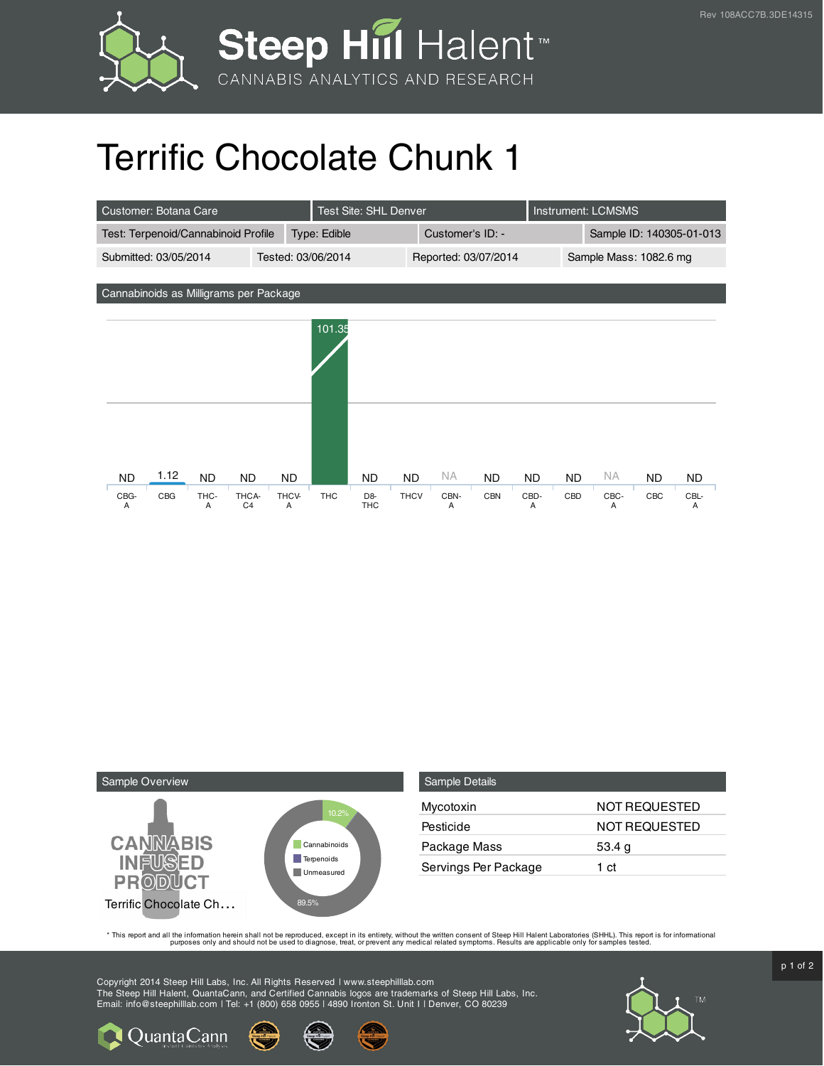

## Terrific Chocolate Chunk 1

| Customer: Botana Care                       |      |           |                         |              | <b>Test Site: SHL Denver</b> |                                |                  |           |                        | <b>Instrument: LCMSMS</b> |           |           |                          |           |
|---------------------------------------------|------|-----------|-------------------------|--------------|------------------------------|--------------------------------|------------------|-----------|------------------------|---------------------------|-----------|-----------|--------------------------|-----------|
| Test: Terpenoid/Cannabinoid Profile         |      |           |                         | Type: Edible |                              |                                | Customer's ID: - |           |                        |                           |           |           | Sample ID: 140305-01-013 |           |
| Submitted: 03/05/2014<br>Tested: 03/06/2014 |      |           |                         |              |                              | Reported: 03/07/2014           |                  |           | Sample Mass: 1082.6 mg |                           |           |           |                          |           |
|                                             |      |           |                         |              |                              |                                |                  |           |                        |                           |           |           |                          |           |
| Cannabinoids as Milligrams per Package      |      |           |                         |              |                              |                                |                  |           |                        |                           |           |           |                          |           |
|                                             |      |           |                         |              | 101.35                       |                                |                  |           |                        |                           |           |           |                          |           |
|                                             |      |           |                         |              |                              |                                |                  |           |                        |                           |           |           |                          |           |
|                                             |      |           |                         |              |                              |                                |                  |           |                        |                           |           |           |                          |           |
| <b>ND</b>                                   | 1.12 | <b>ND</b> | <b>ND</b>               | <b>ND</b>    |                              | <b>ND</b>                      | <b>ND</b>        | <b>NA</b> | <b>ND</b>              | <b>ND</b>                 | <b>ND</b> | <b>NA</b> | ND                       | <b>ND</b> |
| CBG-<br>Α                                   | CBG  | THC-<br>A | THCA-<br>C <sub>4</sub> | THCV-<br>Α   | <b>THC</b>                   | D <sub>8</sub> -<br><b>THC</b> | <b>THCV</b>      | CBN-<br>Α | <b>CBN</b>             | CBD-<br>A                 | CBD       | CBC-<br>A | CBC                      | CBL-<br>A |



**Q** Quanta Cann

| <b>Sample Details</b> |                      |
|-----------------------|----------------------|
| Mycotoxin             | <b>NOT REQUESTED</b> |
| Pesticide             | NOT REQUESTED        |
| Package Mass          | 53.4 $g$             |
| Servings Per Package  | 1 ct                 |

This report and all the information herein shall not be reporduced, except in its entirety, without the written consent of Steep Hill Halent Laboratories (SHHL). This report is for informational all the instance, treat, or

Copyright 2014 Steep Hill Labs, Inc. All Rights Reserved | www.steephilllab.com The Steep Hill Halent, QuantaCann, and Certified Cannabis logos are trademarks of Steep Hill Labs, Inc. Email: info@steephilllab.com | Tel: +1 (800) 658 0955 | 4890 Ironton St. Unit I | Denver, CO 80239



 $p$  1 of 2